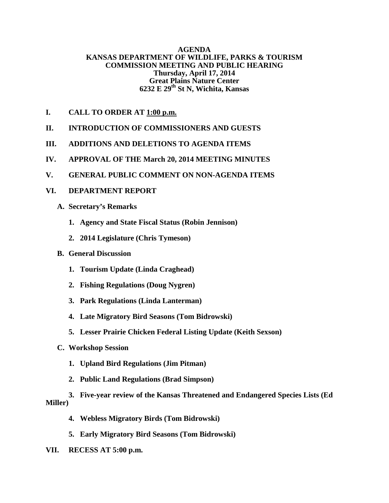### **AGENDA KANSAS DEPARTMENT OF WILDLIFE, PARKS & TOURISM COMMISSION MEETING AND PUBLIC HEARING Thursday, April 17, 2014 Great Plains Nature Center 6232 E 29th St N, Wichita, Kansas**

- **I. CALL TO ORDER AT 1:00 p.m.**
- **II. INTRODUCTION OF COMMISSIONERS AND GUESTS**
- **III. ADDITIONS AND DELETIONS TO AGENDA ITEMS**
- **IV. APPROVAL OF THE March 20, 2014 MEETING MINUTES**
- **V. GENERAL PUBLIC COMMENT ON NON-AGENDA ITEMS**

## **VI. DEPARTMENT REPORT**

- **A. Secretary's Remarks**
	- **1. Agency and State Fiscal Status (Robin Jennison)**
	- **2. 2014 Legislature (Chris Tymeson)**

## **B. General Discussion**

- **1. Tourism Update (Linda Craghead)**
- **2. Fishing Regulations (Doug Nygren)**
- **3. Park Regulations (Linda Lanterman)**
- **4. Late Migratory Bird Seasons (Tom Bidrowski)**
- **5. Lesser Prairie Chicken Federal Listing Update (Keith Sexson)**
- **C. Workshop Session** 
	- **1. Upland Bird Regulations (Jim Pitman)**
	- **2. Public Land Regulations (Brad Simpson)**

# **3. Five-year review of the Kansas Threatened and Endangered Species Lists (Ed Miller)**

- **4. Webless Migratory Birds (Tom Bidrowski)**
- **5. Early Migratory Bird Seasons (Tom Bidrowski)**
- **VII. RECESS AT 5:00 p.m.**